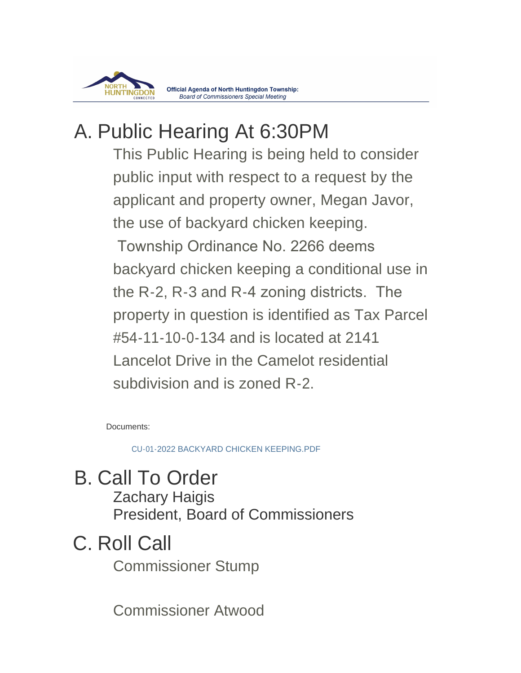

# A. Public Hearing At 6:30PM

This Public Hearing is being held to consider public input with respect to a request by the applicant and property owner, Megan Javor, the use of backyard chicken keeping. Township Ordinance No. 2266 deems backyard chicken keeping a conditional use in the R-2, R-3 and R-4 zoning districts. The property in question is identified as Tax Parcel #54-11-10-0-134 and is located at 2141 Lancelot Drive in the Camelot residential

subdivision and is zoned R-2.

Documents:

[CU-01-2022 BACKYARD CHICKEN KEEPING.PDF](https://www.township.north-huntingdon.pa.us/AgendaCenter/ViewFile/Item/3830?fileID=3187)

# B. Call To Order

Zachary Haigis President, Board of Commissioners

## C. Roll Call

Commissioner Stump

Commissioner Atwood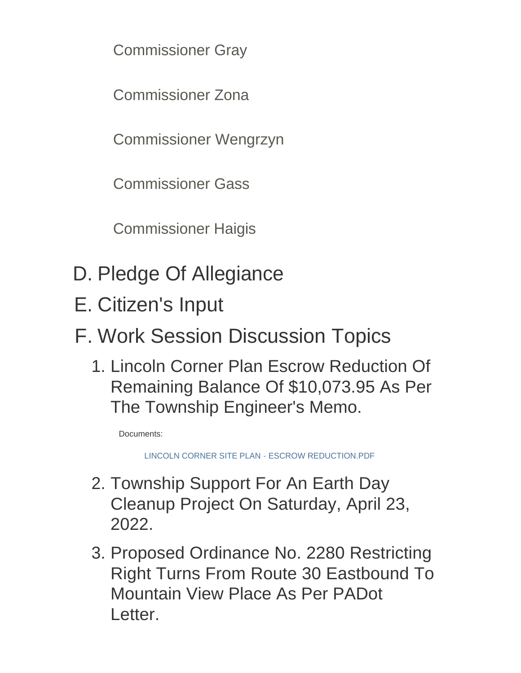Commissioner Gray

Commissioner Zona

Commissioner Wengrzyn

Commissioner Gass

Commissioner Haigis

- D. Pledge Of Allegiance
- E. Citizen's Input
- F. Work Session Discussion Topics
	- 1. Lincoln Corner Plan Escrow Reduction Of Remaining Balance Of \$10,073.95 As Per The Township Engineer's Memo.

Documents:

[LINCOLN CORNER SITE PLAN - ESCROW REDUCTION.PDF](https://www.township.north-huntingdon.pa.us/AgendaCenter/ViewFile/Item/3831?fileID=3179)

- 2. Township Support For An Earth Day Cleanup Project On Saturday, April 23, 2022.
- 3. Proposed Ordinance No. 2280 Restricting Right Turns From Route 30 Eastbound To Mountain View Place As Per PADot Letter.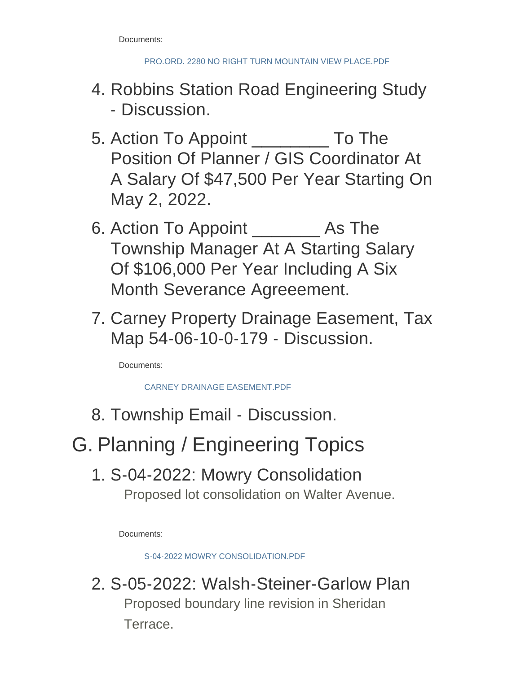Documents:

[PRO.ORD. 2280 NO RIGHT TURN MOUNTAIN VIEW PLACE.PDF](https://www.township.north-huntingdon.pa.us/AgendaCenter/ViewFile/Item/3833?fileID=3180)

- 4. Robbins Station Road Engineering Study - Discussion.
- 5. Action To Appoint \_\_\_\_\_\_\_\_\_\_ To The Position Of Planner / GIS Coordinator At A Salary Of \$47,500 Per Year Starting On May 2, 2022.
- 6. Action To Appoint \_\_\_\_\_\_\_\_\_ As The Township Manager At A Starting Salary Of \$106,000 Per Year Including A Six Month Severance Agreeement.
- 7. Carney Property Drainage Easement, Tax Map 54-06-10-0-179 - Discussion.

Documents:

CARNEY DRAINAGE FASEMENT PDF

8. Township Email - Discussion.

# G. Planning / Engineering Topics

S-04-2022: Mowry Consolidation 1. Proposed lot consolidation on Walter Avenue.

Documents:

[S-04-2022 MOWRY CONSOLIDATION.PDF](https://www.township.north-huntingdon.pa.us/AgendaCenter/ViewFile/Item/3839?fileID=3182)

2. S-05-2022: Walsh-Steiner-Garlow Plan Proposed boundary line revision in Sheridan Terrace.